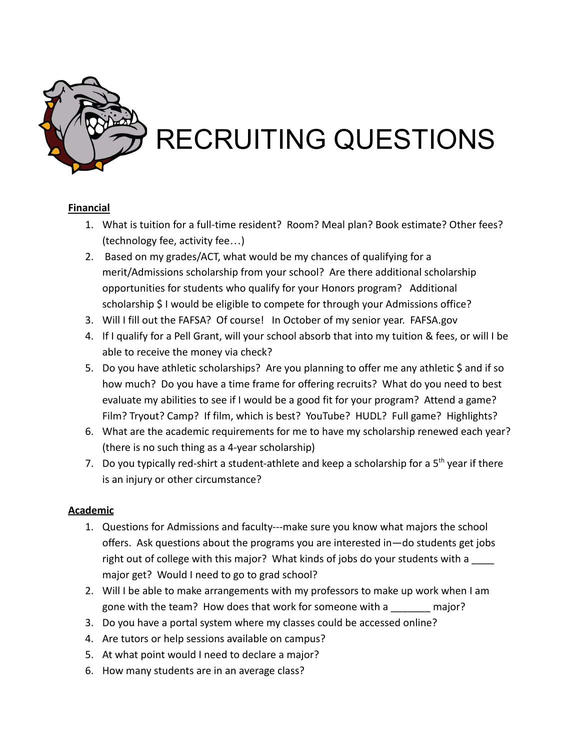

# RECRUITING QUESTIONS

## **Financial**

- 1. What is tuition for a full-time resident? Room? Meal plan? Book estimate? Other fees? (technology fee, activity fee…)
- 2. Based on my grades/ACT, what would be my chances of qualifying for a merit/Admissions scholarship from your school? Are there additional scholarship opportunities for students who qualify for your Honors program? Additional scholarship \$ I would be eligible to compete for through your Admissions office?
- 3. Will I fill out the FAFSA? Of course! In October of my senior year. FAFSA.gov
- 4. If I qualify for a Pell Grant, will your school absorb that into my tuition & fees, or will I be able to receive the money via check?
- 5. Do you have athletic scholarships? Are you planning to offer me any athletic \$ and if so how much? Do you have a time frame for offering recruits? What do you need to best evaluate my abilities to see if I would be a good fit for your program? Attend a game? Film? Tryout? Camp? If film, which is best? YouTube? HUDL? Full game? Highlights?
- 6. What are the academic requirements for me to have my scholarship renewed each year? (there is no such thing as a 4-year scholarship)
- 7. Do you typically red-shirt a student-athlete and keep a scholarship for a  $5<sup>th</sup>$  year if there is an injury or other circumstance?

#### **Academic**

- 1. Questions for Admissions and faculty---make sure you know what majors the school offers. Ask questions about the programs you are interested in—do students get jobs right out of college with this major? What kinds of jobs do your students with a major get? Would I need to go to grad school?
- 2. Will I be able to make arrangements with my professors to make up work when I am gone with the team? How does that work for someone with a \_\_\_\_\_\_\_ major?
- 3. Do you have a portal system where my classes could be accessed online?
- 4. Are tutors or help sessions available on campus?
- 5. At what point would I need to declare a major?
- 6. How many students are in an average class?